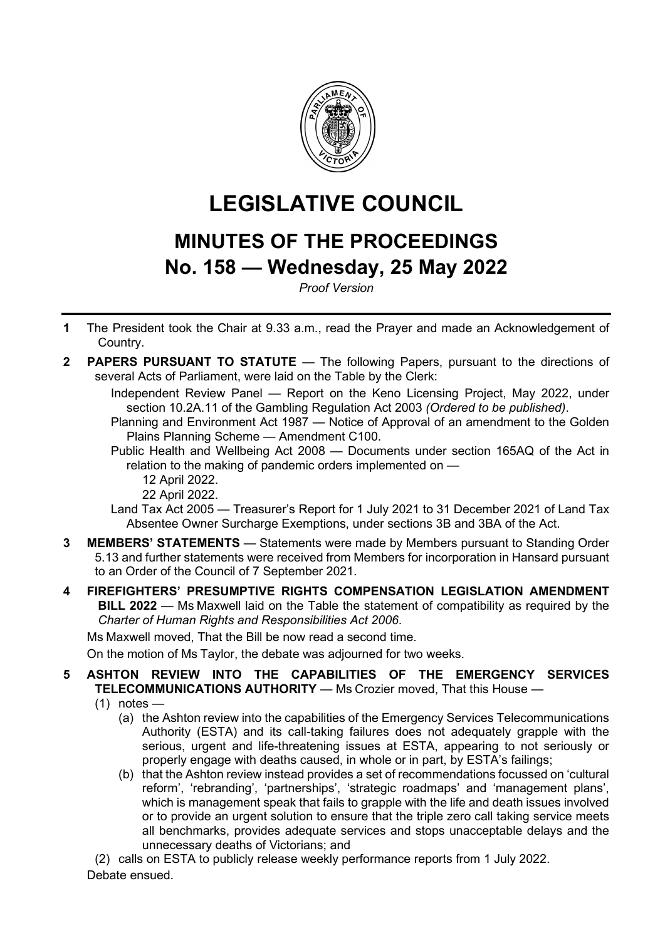

# **LEGISLATIVE COUNCIL**

# **MINUTES OF THE PROCEEDINGS No. 158 — Wednesday, 25 May 2022**

*Proof Version*

- **1** The President took the Chair at 9.33 a.m., read the Prayer and made an Acknowledgement of Country.
- **2 PAPERS PURSUANT TO STATUTE** The following Papers, pursuant to the directions of several Acts of Parliament, were laid on the Table by the Clerk:

Independent Review Panel — Report on the Keno Licensing Project, May 2022, under section 10.2A.11 of the Gambling Regulation Act 2003 *(Ordered to be published)*.

Planning and Environment Act 1987 — Notice of Approval of an amendment to the Golden Plains Planning Scheme — Amendment C100.

Public Health and Wellbeing Act 2008 — Documents under section 165AQ of the Act in relation to the making of pandemic orders implemented on —

### 12 April 2022.

22 April 2022.

Land Tax Act 2005 — Treasurer's Report for 1 July 2021 to 31 December 2021 of Land Tax Absentee Owner Surcharge Exemptions, under sections 3B and 3BA of the Act.

- **3 MEMBERS' STATEMENTS** Statements were made by Members pursuant to Standing Order 5.13 and further statements were received from Members for incorporation in Hansard pursuant to an Order of the Council of 7 September 2021.
- **4 FIREFIGHTERS' PRESUMPTIVE RIGHTS COMPENSATION LEGISLATION AMENDMENT BILL 2022** — Ms Maxwell laid on the Table the statement of compatibility as required by the *Charter of Human Rights and Responsibilities Act 2006*.

Ms Maxwell moved, That the Bill be now read a second time.

On the motion of Ms Taylor, the debate was adjourned for two weeks.

# **5 ASHTON REVIEW INTO THE CAPABILITIES OF THE EMERGENCY SERVICES TELECOMMUNICATIONS AUTHORITY** — Ms Crozier moved, That this House —

- $(1)$  notes
	- (a) the Ashton review into the capabilities of the Emergency Services Telecommunications Authority (ESTA) and its call-taking failures does not adequately grapple with the serious, urgent and life-threatening issues at ESTA, appearing to not seriously or properly engage with deaths caused, in whole or in part, by ESTA's failings;
	- (b) that the Ashton review instead provides a set of recommendations focussed on 'cultural reform', 'rebranding', 'partnerships', 'strategic roadmaps' and 'management plans', which is management speak that fails to grapple with the life and death issues involved or to provide an urgent solution to ensure that the triple zero call taking service meets all benchmarks, provides adequate services and stops unacceptable delays and the unnecessary deaths of Victorians; and

(2) calls on ESTA to publicly release weekly performance reports from 1 July 2022.

Debate ensued.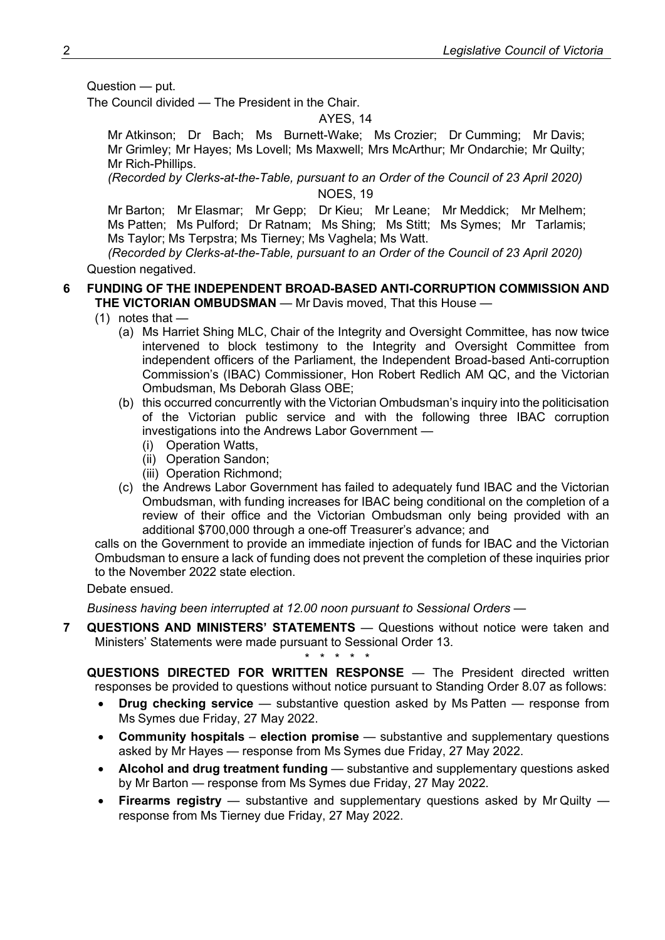Question — put.

The Council divided — The President in the Chair.

# AYES, 14

Mr Atkinson; Dr Bach; Ms Burnett-Wake; Ms Crozier; Dr Cumming; Mr Davis; Mr Grimley; Mr Hayes; Ms Lovell; Ms Maxwell; Mrs McArthur; Mr Ondarchie; Mr Quilty; Mr Rich-Phillips.

*(Recorded by Clerks-at-the-Table, pursuant to an Order of the Council of 23 April 2020)* NOES, 19

Mr Barton; Mr Elasmar; Mr Gepp; Dr Kieu; Mr Leane; Mr Meddick; Mr Melhem; Ms Patten; Ms Pulford; Dr Ratnam; Ms Shing; Ms Stitt; Ms Symes; Mr Tarlamis; Ms Taylor; Ms Terpstra; Ms Tierney; Ms Vaghela; Ms Watt.

*(Recorded by Clerks-at-the-Table, pursuant to an Order of the Council of 23 April 2020)* Question negatived.

#### **6 FUNDING OF THE INDEPENDENT BROAD-BASED ANTI-CORRUPTION COMMISSION AND THE VICTORIAN OMBUDSMAN** — Mr Davis moved, That this House —

- $(1)$  notes that  $-$ 
	- (a) Ms Harriet Shing MLC, Chair of the Integrity and Oversight Committee, has now twice intervened to block testimony to the Integrity and Oversight Committee from independent officers of the Parliament, the Independent Broad-based Anti-corruption Commission's (IBAC) Commissioner, Hon Robert Redlich AM QC, and the Victorian Ombudsman, Ms Deborah Glass OBE;
	- (b) this occurred concurrently with the Victorian Ombudsman's inquiry into the politicisation of the Victorian public service and with the following three IBAC corruption investigations into the Andrews Labor Government —
		- (i) Operation Watts,
		- (ii) Operation Sandon;
		- (iii) Operation Richmond;
	- (c) the Andrews Labor Government has failed to adequately fund IBAC and the Victorian Ombudsman, with funding increases for IBAC being conditional on the completion of a review of their office and the Victorian Ombudsman only being provided with an additional \$700,000 through a one-off Treasurer's advance; and

calls on the Government to provide an immediate injection of funds for IBAC and the Victorian Ombudsman to ensure a lack of funding does not prevent the completion of these inquiries prior to the November 2022 state election.

Debate ensued.

*Business having been interrupted at 12.00 noon pursuant to Sessional Orders —*

**7 QUESTIONS AND MINISTERS' STATEMENTS** — Questions without notice were taken and Ministers' Statements were made pursuant to Sessional Order 13.

*\* \* \* \* \**

**QUESTIONS DIRECTED FOR WRITTEN RESPONSE** — The President directed written responses be provided to questions without notice pursuant to Standing Order 8.07 as follows:

- **Drug checking service**  substantive question asked by Ms Patten response from Ms Symes due Friday, 27 May 2022.
- **Community hospitals election promise** substantive and supplementary questions asked by Mr Hayes — response from Ms Symes due Friday, 27 May 2022.
- **Alcohol and drug treatment funding** substantive and supplementary questions asked by Mr Barton — response from Ms Symes due Friday, 27 May 2022.
- **Firearms registry** substantive and supplementary questions asked by Mr Quilty response from Ms Tierney due Friday, 27 May 2022.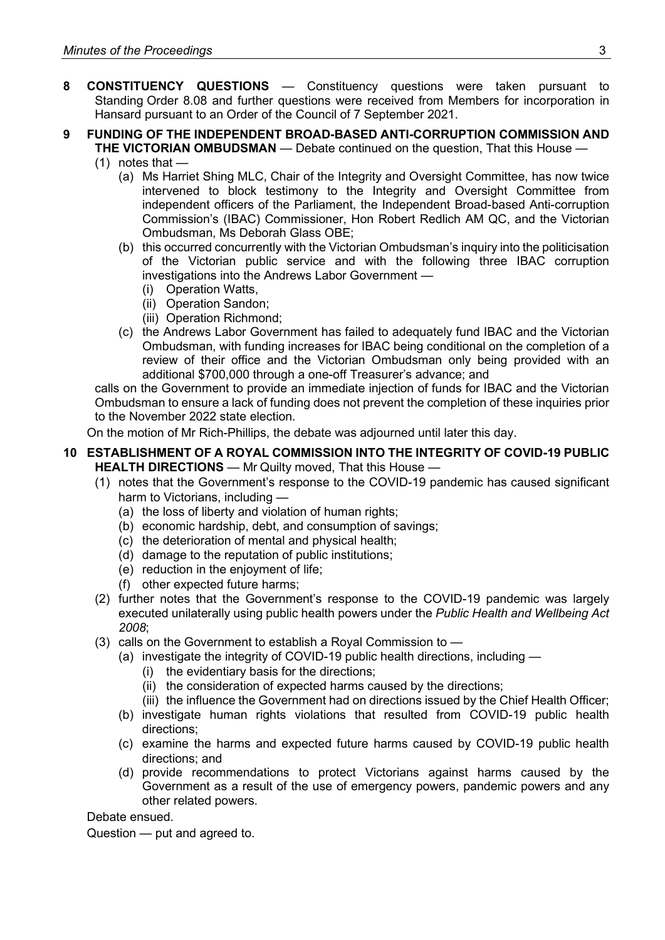- **8 CONSTITUENCY QUESTIONS** Constituency questions were taken pursuant to Standing Order 8.08 and further questions were received from Members for incorporation in Hansard pursuant to an Order of the Council of 7 September 2021.
- **9 FUNDING OF THE INDEPENDENT BROAD-BASED ANTI-CORRUPTION COMMISSION AND THE VICTORIAN OMBUDSMAN** — Debate continued on the question, That this House —
	- $(1)$  notes that
		- (a) Ms Harriet Shing MLC, Chair of the Integrity and Oversight Committee, has now twice intervened to block testimony to the Integrity and Oversight Committee from independent officers of the Parliament, the Independent Broad-based Anti-corruption Commission's (IBAC) Commissioner, Hon Robert Redlich AM QC, and the Victorian Ombudsman, Ms Deborah Glass OBE;
		- (b) this occurred concurrently with the Victorian Ombudsman's inquiry into the politicisation of the Victorian public service and with the following three IBAC corruption investigations into the Andrews Labor Government —
			- (i) Operation Watts,
			- (ii) Operation Sandon;
			- (iii) Operation Richmond;
		- (c) the Andrews Labor Government has failed to adequately fund IBAC and the Victorian Ombudsman, with funding increases for IBAC being conditional on the completion of a review of their office and the Victorian Ombudsman only being provided with an additional \$700,000 through a one-off Treasurer's advance; and

calls on the Government to provide an immediate injection of funds for IBAC and the Victorian Ombudsman to ensure a lack of funding does not prevent the completion of these inquiries prior to the November 2022 state election.

On the motion of Mr Rich-Phillips, the debate was adjourned until later this day.

### **10 ESTABLISHMENT OF A ROYAL COMMISSION INTO THE INTEGRITY OF COVID-19 PUBLIC HEALTH DIRECTIONS** — Mr Quilty moved, That this House —

- (1) notes that the Government's response to the COVID-19 pandemic has caused significant harm to Victorians, including —
	- (a) the loss of liberty and violation of human rights;
	- (b) economic hardship, debt, and consumption of savings;
	- (c) the deterioration of mental and physical health;
	- (d) damage to the reputation of public institutions;
	- (e) reduction in the enjoyment of life;
	- (f) other expected future harms;
- (2) further notes that the Government's response to the COVID-19 pandemic was largely executed unilaterally using public health powers under the *Public Health and Wellbeing Act 2008*;
- (3) calls on the Government to establish a Royal Commission to
	- (a) investigate the integrity of COVID-19 public health directions, including
		- (i) the evidentiary basis for the directions;
		- (ii) the consideration of expected harms caused by the directions;
		- (iii) the influence the Government had on directions issued by the Chief Health Officer;
	- (b) investigate human rights violations that resulted from COVID-19 public health directions;
	- (c) examine the harms and expected future harms caused by COVID-19 public health directions; and
	- (d) provide recommendations to protect Victorians against harms caused by the Government as a result of the use of emergency powers, pandemic powers and any other related powers.

Debate ensued.

Question — put and agreed to.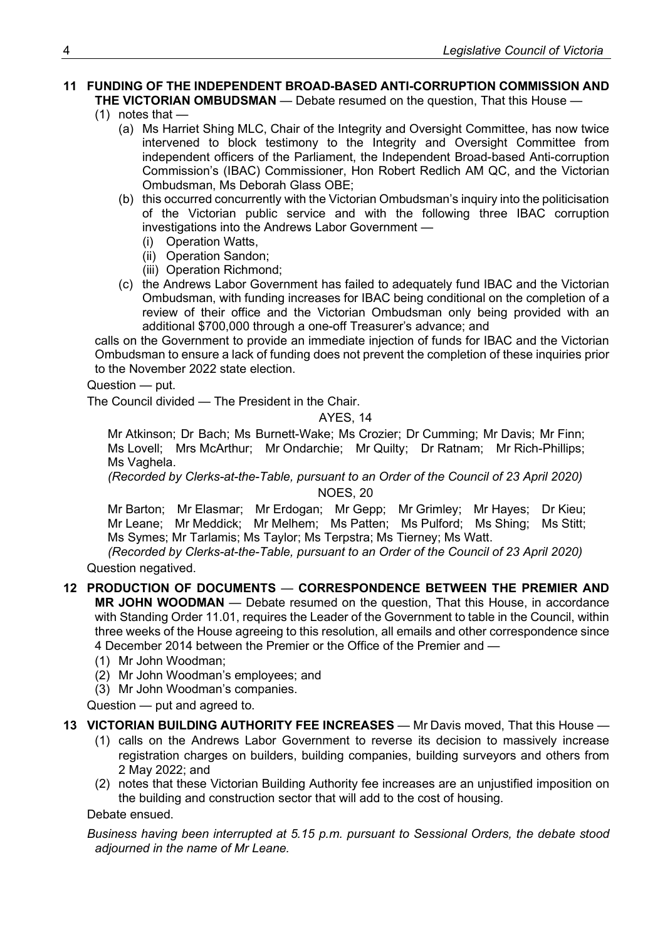#### **11 FUNDING OF THE INDEPENDENT BROAD-BASED ANTI-CORRUPTION COMMISSION AND THE VICTORIAN OMBUDSMAN** — Debate resumed on the question, That this House —

- $(1)$  notes that  $-$ 
	- (a) Ms Harriet Shing MLC, Chair of the Integrity and Oversight Committee, has now twice intervened to block testimony to the Integrity and Oversight Committee from independent officers of the Parliament, the Independent Broad-based Anti-corruption Commission's (IBAC) Commissioner, Hon Robert Redlich AM QC, and the Victorian Ombudsman, Ms Deborah Glass OBE;
	- (b) this occurred concurrently with the Victorian Ombudsman's inquiry into the politicisation of the Victorian public service and with the following three IBAC corruption investigations into the Andrews Labor Government —
		- (i) Operation Watts,
		- (ii) Operation Sandon;
		- (iii) Operation Richmond;
	- (c) the Andrews Labor Government has failed to adequately fund IBAC and the Victorian Ombudsman, with funding increases for IBAC being conditional on the completion of a review of their office and the Victorian Ombudsman only being provided with an additional \$700,000 through a one-off Treasurer's advance; and

calls on the Government to provide an immediate injection of funds for IBAC and the Victorian Ombudsman to ensure a lack of funding does not prevent the completion of these inquiries prior to the November 2022 state election.

Question — put.

The Council divided — The President in the Chair.

#### AYES, 14

Mr Atkinson; Dr Bach; Ms Burnett-Wake; Ms Crozier; Dr Cumming; Mr Davis; Mr Finn; Ms Lovell; Mrs McArthur; Mr Ondarchie; Mr Quilty; Dr Ratnam; Mr Rich-Phillips; Ms Vaghela.

*(Recorded by Clerks-at-the-Table, pursuant to an Order of the Council of 23 April 2020)* NOES, 20

Mr Barton; Mr Elasmar; Mr Erdogan; Mr Gepp; Mr Grimley; Mr Hayes; Dr Kieu; Mr Leane; Mr Meddick; Mr Melhem; Ms Patten; Ms Pulford; Ms Shing; Ms Stitt; Ms Symes; Mr Tarlamis; Ms Taylor; Ms Terpstra; Ms Tierney; Ms Watt.

*(Recorded by Clerks-at-the-Table, pursuant to an Order of the Council of 23 April 2020)* Question negatived.

**12 PRODUCTION OF DOCUMENTS** — **CORRESPONDENCE BETWEEN THE PREMIER AND** 

**MR JOHN WOODMAN** — Debate resumed on the question, That this House, in accordance with Standing Order 11.01, requires the Leader of the Government to table in the Council, within three weeks of the House agreeing to this resolution, all emails and other correspondence since 4 December 2014 between the Premier or the Office of the Premier and —

- (1) Mr John Woodman;
- (2) Mr John Woodman's employees; and
- (3) Mr John Woodman's companies.

Question — put and agreed to.

#### **13 VICTORIAN BUILDING AUTHORITY FEE INCREASES** — Mr Davis moved, That this House —

- (1) calls on the Andrews Labor Government to reverse its decision to massively increase registration charges on builders, building companies, building surveyors and others from 2 May 2022; and
- (2) notes that these Victorian Building Authority fee increases are an unjustified imposition on the building and construction sector that will add to the cost of housing.

Debate ensued.

*Business having been interrupted at 5.15 p.m. pursuant to Sessional Orders, the debate stood adjourned in the name of Mr Leane.*